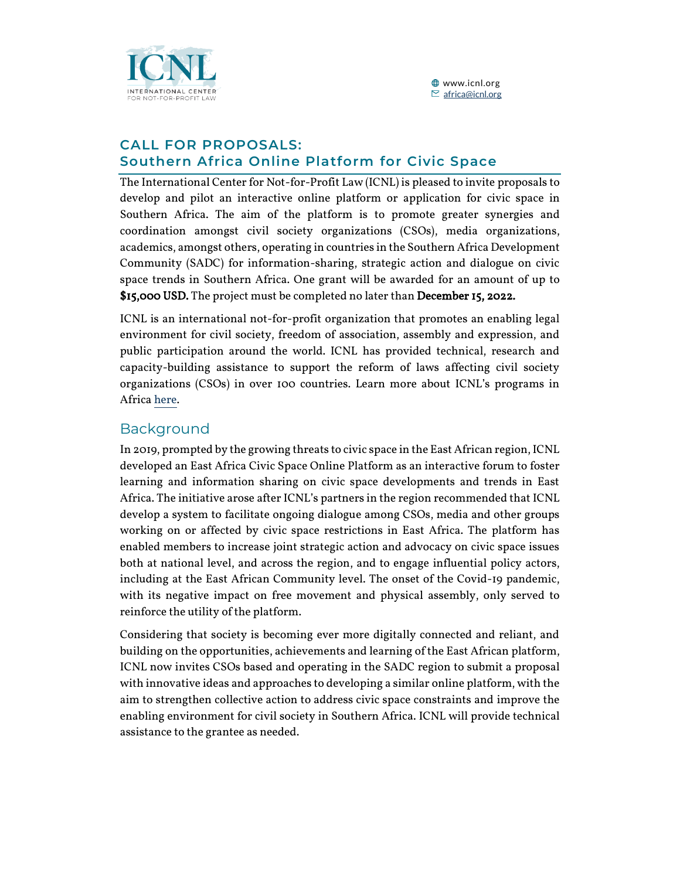

#### **CALL FOR PROPOSALS: Southern Africa Online Platform for Civic Space**

The International Center for Not-for-Profit Law (ICNL) is pleased to invite proposals to develop and pilot an interactive online platform or application for civic space in Southern Africa. The aim of the platform is to promote greater synergies and coordination amongst civil society organizations (CSOs), media organizations, academics, amongst others, operating in countries in the Southern Africa Development Community (SADC) for information-sharing, strategic action and dialogue on civic space trends in Southern Africa. One grant will be awarded for an amount of up to \$15,000 USD. The project must be completed no later than December 15, 2022.

ICNL is an international not-for-profit organization that promotes an enabling legal environment for civil society, freedom of association, assembly and expression, and public participation around the world. ICNL has provided technical, research and capacity-building assistance to support the reform of laws affecting civil society organizations (CSOs) in over 100 countries. Learn more about ICNL's programs in Afric[a here.](https://www.icnl.org/our-work/sub-saharan-africa-program)

### Background

In 2019, prompted by the growing threats to civic space in the East African region, ICNL developed an East Africa Civic Space Online Platform as an interactive forum to foster learning and information sharing on civic space developments and trends in East Africa. The initiative arose after ICNL's partners in the region recommended that ICNL develop a system to facilitate ongoing dialogue among CSOs, media and other groups working on or affected by civic space restrictions in East Africa. The platform has enabled members to increase joint strategic action and advocacy on civic space issues both at national level, and across the region, and to engage influential policy actors, including at the East African Community level. The onset of the Covid-19 pandemic, with its negative impact on free movement and physical assembly, only served to reinforce the utility of the platform.

Considering that society is becoming ever more digitally connected and reliant, and building on the opportunities, achievements and learning of the East African platform, ICNL now invites CSOs based and operating in the SADC region to submit a proposal with innovative ideas and approaches to developing a similar online platform, with the aim to strengthen collective action to address civic space constraints and improve the enabling environment for civil society in Southern Africa. ICNL will provide technical assistance to the grantee as needed.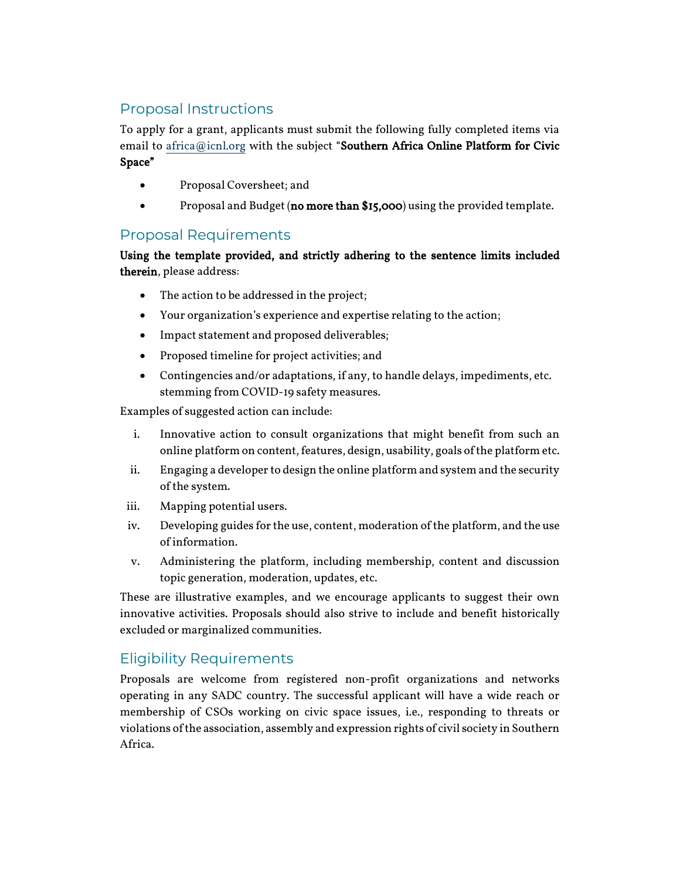## Proposal Instructions

To apply for a grant, applicants must submit the following fully completed items via email to [africa@icnl.org](mailto:africa@icnl.org) with the subject "Southern Africa Online Platform for Civic Space"

- Proposal Coversheet; and
- Proposal and Budget (no more than \$15,000) using the provided template.

#### Proposal Requirements

#### Using the template provided, and strictly adhering to the sentence limits included therein, please address:

- The action to be addressed in the project;
- Your organization's experience and expertise relating to the action;
- Impact statement and proposed deliverables;
- Proposed timeline for project activities; and
- Contingencies and/or adaptations, if any, to handle delays, impediments, etc. stemming from COVID-19 safety measures.

Examples of suggested action can include:

- i. Innovative action to consult organizations that might benefit from such an online platform on content, features, design, usability, goals of the platform etc.
- ii. Engaging a developer to design the online platform and system and the security of the system.
- iii. Mapping potential users.
- iv. Developing guides for the use, content, moderation of the platform, and the use of information.
- v. Administering the platform, including membership, content and discussion topic generation, moderation, updates, etc.

These are illustrative examples, and we encourage applicants to suggest their own innovative activities. Proposals should also strive to include and benefit historically excluded or marginalized communities.

## Eligibility Requirements

Proposals are welcome from registered non-profit organizations and networks operating in any SADC country. The successful applicant will have a wide reach or membership of CSOs working on civic space issues, i.e., responding to threats or violations of the association, assembly and expression rights of civil society in Southern Africa.